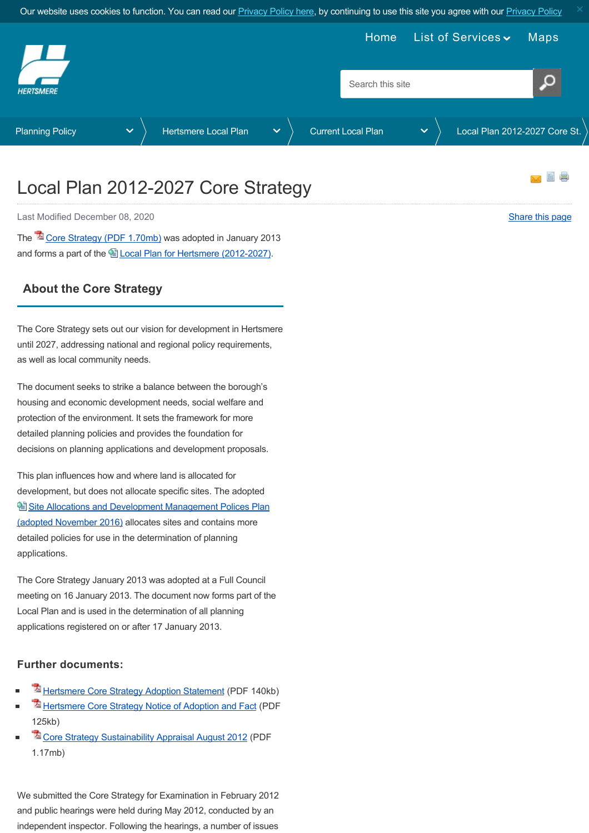<span id="page-0-0"></span>

## Local Plan 2012-2027 Core Strategy

Last Modified December 08, 2020 [Share this page](http://www.addthis.com/bookmark.php?v=250&pubid=xa-502e5fd570edcb1e) of the state of the state of the state of the state of the state of the state of the state of the state of the state of the state of the state of the state of the state of th

The <sup>2</sup> [Core Strategy \(PDF 1.70mb\)](https://www.hertsmere.gov.uk/Documents/09-Planning--Building-Control/Planning-Policy/Local-Development-Framework/Core-Strategy-DPD-2013.pdf) was adopted in January 2013 and forms a part of the **Local Plan for Hertsmere (2012-2027)**.

## **About the Core Strategy**

The Core Strategy sets out our vision for development in Hertsmere until 2027, addressing national and regional policy requirements, as well as local community needs.

The document seeks to strike a balance between the borough's housing and economic development needs, social welfare and protection of the environment. It sets the framework for more detailed planning policies and provides the foundation for decisions on planning applications and development proposals.

This plan influences how and where land is allocated for development, but does not allocate specific sites. The adopted **图 [Site Allocations and Development Management Polices Plan](https://www.hertsmere.gov.uk/Planning--Building-Control/Planning-Policy/Local-Plan/Current-Local-Plan/Local-Plan-2012-27-SADM-main-page.aspx)** (adopted November 2016) allocates sites and contains more detailed policies for use in the determination of planning applications.

The Core Strategy January 2013 was adopted at a Full Council meeting on 16 January 2013. The document now forms part of the Local Plan and is used in the determination of all planning applications registered on or after 17 January 2013.

## **Further documents:**

- [Hertsmere Core Strategy Adoption Statement](https://www.hertsmere.gov.uk/Documents/09-Planning--Building-Control/Planning-Policy/Local-Development-Framework/Core-Strategy-post-adoption-SEA-statement-2013.pdf) (PDF 140kb)
- [Hertsmere Core Strategy Notice of Adoption and Fact](https://www.hertsmere.gov.uk/Documents/09-Planning--Building-Control/Planning-Policy/Local-Plan/Core-Strategy-Notice-of-Adoption-and-Fact.pdf) (PDF 125kb)
- **The [Core Strategy Sustainability Appraisal August 2012](https://www.hertsmere.gov.uk/Documents/09-Planning--Building-Control/Planning-Policy/Local-Development-Framework/Sustainability-Appraisal-Core-Strategy-August-2012.pdf) (PDF** 1.17mb)

We submitted the Core Strategy for Examination in February 2012 and public hearings were held during May 2012, conducted by an independent inspector. Following the hearings, a number of issues